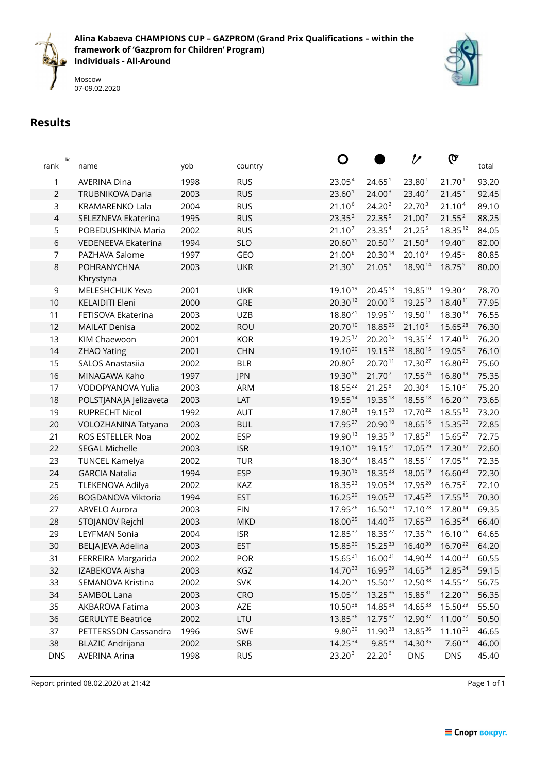



# **Results**

| rank           | lic. | name                      | yob  | country    | Ő                   |                        | ク                   | Q                   | total |
|----------------|------|---------------------------|------|------------|---------------------|------------------------|---------------------|---------------------|-------|
| 1              |      | <b>AVERINA Dina</b>       | 1998 | <b>RUS</b> | 23.054              | 24.65 <sup>1</sup>     | 23.80 <sup>1</sup>  | 21.70 <sup>1</sup>  | 93.20 |
| $\sqrt{2}$     |      | TRUBNIKOVA Daria          | 2003 | <b>RUS</b> | 23.60 <sup>1</sup>  | 24.00 <sup>3</sup>     | 23.40 <sup>2</sup>  | 21.45 <sup>3</sup>  | 92.45 |
| 3              |      | <b>KRAMARENKO Lala</b>    | 2004 | <b>RUS</b> | 21.10 <sup>6</sup>  | 24.20 <sup>2</sup>     | 22.703              | 21.10 <sup>4</sup>  | 89.10 |
| $\overline{4}$ |      | SELEZNEVA Ekaterina       | 1995 | <b>RUS</b> | 23.35 <sup>2</sup>  | 22.355                 | 21.00 <sup>7</sup>  | 21.55 <sup>2</sup>  | 88.25 |
| 5              |      | POBEDUSHKINA Maria        | 2002 | <b>RUS</b> | 21.10 <sup>7</sup>  | 23.35 <sup>4</sup>     | 21.25 <sup>5</sup>  | 18.3512             | 84.05 |
| $\,$ 6 $\,$    |      | VEDENEEVA Ekaterina       | 1994 | <b>SLO</b> | 20.60 <sup>11</sup> | $20.50^{12}$           | 21.50 <sup>4</sup>  | 19.40 <sup>6</sup>  | 82.00 |
| $\overline{7}$ |      | PAZHAVA Salome            | 1997 | GEO        | 21.00 <sup>8</sup>  | 20.3014                | $20.10^9$           | 19.45 <sup>5</sup>  | 80.85 |
| $\,8\,$        |      | POHRANYCHNA<br>Khrystyna  | 2003 | <b>UKR</b> | 21.30 <sup>5</sup>  | 21.05 <sup>9</sup>     | 18.9014             | 18.75 <sup>9</sup>  | 80.00 |
| 9              |      | MELESHCHUK Yeva           | 2001 | <b>UKR</b> | 19.1019             | 20.45 13               | 19.8510             | 19.307              | 78.70 |
| 10             |      | <b>KELAIDITI Eleni</b>    | 2000 | GRE        | $20.30^{12}$        | 20.0016                | $19.25^{13}$        | 18.4011             | 77.95 |
| 11             |      | FETISOVA Ekaterina        | 2003 | <b>UZB</b> | $18.80^{21}$        | 19.95 $17$             | 19.5011             | 18.3013             | 76.55 |
| 12             |      | <b>MAILAT Denisa</b>      | 2002 | <b>ROU</b> | 20.7010             | 18.8525                | 21.10 <sup>6</sup>  | 15.6528             | 76.30 |
| 13             |      | KIM Chaewoon              | 2001 | <b>KOR</b> | 19.2517             | 20.2015                | 19.3512             | 17.4016             | 76.20 |
| 14             |      | <b>ZHAO Yating</b>        | 2001 | <b>CHN</b> | 19.1020             | 19.15 <sup>22</sup>    | 18.8015             | 19.05 <sup>8</sup>  | 76.10 |
| 15             |      | <b>SALOS Anastasiia</b>   | 2002 | <b>BLR</b> | 20.80 <sup>9</sup>  | 20.7011                | 17.30 <sup>27</sup> | 16.8020             | 75.60 |
| 16             |      | MINAGAWA Kaho             | 1997 | <b>JPN</b> | 19.3016             | 21.70 <sup>7</sup>     | $17.55^{24}$        | 16.8019             | 75.35 |
| 17             |      | VODOPYANOVA Yulia         | 2003 | ARM        | 18.5522             | 21.25 <sup>8</sup>     | 20.30 <sup>8</sup>  | $15.10^{31}$        | 75.20 |
| 18             |      | POLSTJANAJA Jelizaveta    | 2003 | LAT        | 19.55 14            | 19.35 18               | 18.55 18            | $16.20^{25}$        | 73.65 |
| 19             |      | <b>RUPRECHT Nicol</b>     | 1992 | <b>AUT</b> | 17.80 $^{28}$       | 19.1520                | $17.70^{22}$        | $18.55^{10}$        | 73.20 |
| 20             |      | VOLOZHANINA Tatyana       | 2003 | <b>BUL</b> | 17.95 $27$          | 20.9010                | 18.6516             | $15.35^{30}$        | 72.85 |
| 21             |      | ROS ESTELLER Noa          | 2002 | <b>ESP</b> | 19.9013             | 19.35 19               | $17.85^{21}$        | $15.65^{27}$        | 72.75 |
| 22             |      | <b>SEGAL Michelle</b>     | 2003 | <b>ISR</b> | 19.1018             | 19.15 <sup>21</sup>    | 17.05 $29$          | 17.3017             | 72.60 |
| 23             |      | <b>TUNCEL Kamelya</b>     | 2002 | <b>TUR</b> | 18.30 <sup>24</sup> | 18.45 26               | $18.55^{17}$        | 17.05 18            | 72.35 |
| 24             |      | <b>GARCIA Natalia</b>     | 1994 | <b>ESP</b> | 19.3015             | 18.35 $28$             | 18.0519             | $16.60^{23}$        | 72.30 |
| 25             |      | TLEKENOVA Adilya          | 2002 | KAZ        | 18.35 $23$          | 19.0524                | 17.95 $^{20}$       | $16.75^{21}$        | 72.10 |
| 26             |      | <b>BOGDANOVA Viktoria</b> | 1994 | <b>EST</b> | $16.25^{29}$        | 19.05 23               | 17.45 $25$          | $17.55^{15}$        | 70.30 |
| 27             |      | ARVELO Aurora             | 2003 | <b>FIN</b> | 17.9526             | $16.50^{30}$           | 17.10 <sup>28</sup> | 17.8014             | 69.35 |
| 28             |      | STOJANOV Rejchl           | 2003 | <b>MKD</b> | 18.0025             | 14.40 35               | $17.65^{23}$        | 16.3524             | 66.40 |
| 29             |      | LEYFMAN Sonia             | 2004 | <b>ISR</b> | 12.8537             | 18.35 $27$             | 17.35 26            | 16.1026             | 64.65 |
| 30             |      | BELJAJEVA Adelina         | 2003 | <b>EST</b> | 15.85 30            | $15.25^{33}$           | $16.40^{30}$        | 16.70 <sup>22</sup> | 64.20 |
| 31             |      | FERREIRA Margarida        | 2002 | POR        | $15.65^{31}$        | $16.00^{31}$           | 14.9032             | $14.00^{33}$        | 60.55 |
| 32             |      | IZABEKOVA Aisha           | 2003 | KGZ        | $14.70^{33}$        | $16.95^{29}$           | $14.65^{34}$        | 12.85 34            | 59.15 |
| 33             |      | SEMANOVA Kristina         | 2002 | <b>SVK</b> | 14.2035             | 15.5032                | 12.5038             | $14.55^{32}$        | 56.75 |
| 34             |      | SAMBOL Lana               | 2003 | CRO        | $15.05^{32}$        | 13.25 36               | $15.85^{31}$        | 12.2035             | 56.35 |
| 35             |      | AKBAROVA Fatima           | 2003 | AZE        | 10.5038             | 14.85 34               | $14.65^{33}$        | $15.50^{29}$        | 55.50 |
| 36             |      | <b>GERULYTE Beatrice</b>  | 2002 | LTU        | 13.85 36            | $12.75^{37}$           | 12.9037             | $11.00^{37}$        | 50.50 |
| 37             |      | PETTERSSON Cassandra      | 1996 | SWE        | $9.80^{39}$         | 11.9038<br>$9.85^{39}$ | 13.85 36            | $11.10^{36}$        | 46.65 |
| 38             |      | <b>BLAZIC Andrijana</b>   | 2002 | SRB        | 14.25 34            |                        | 14.3035             | $7.60^{38}$         | 46.00 |
| <b>DNS</b>     |      | <b>AVERINA Arina</b>      | 1998 | <b>RUS</b> | 23.20 <sup>3</sup>  | 22.20 <sup>6</sup>     | <b>DNS</b>          | <b>DNS</b>          | 45.40 |

Report printed 08.02.2020 at 21:42 Page 1 of 1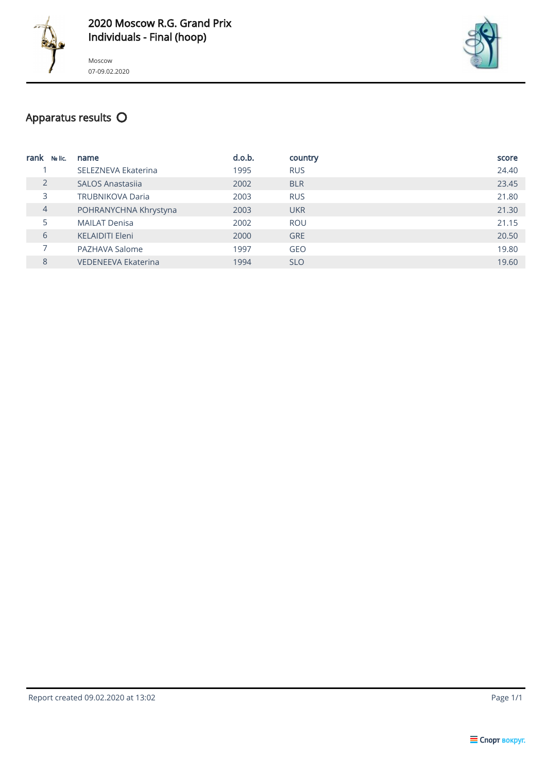



## Apparatus results  $\mathsf O$

| rank<br>No lic. | name                       | d.o.b. | country    | score |
|-----------------|----------------------------|--------|------------|-------|
|                 | SELEZNEVA Ekaterina        | 1995   | <b>RUS</b> | 24.40 |
| $\overline{2}$  | <b>SALOS Anastasija</b>    | 2002   | <b>BLR</b> | 23.45 |
| 3               | <b>TRUBNIKOVA Daria</b>    | 2003   | <b>RUS</b> | 21.80 |
| $\overline{4}$  | POHRANYCHNA Khrystyna      | 2003   | <b>UKR</b> | 21.30 |
| 5               | <b>MAILAT Denisa</b>       | 2002   | <b>ROU</b> | 21.15 |
| 6               | <b>KELAIDITI Eleni</b>     | 2000   | <b>GRE</b> | 20.50 |
|                 | PAZHAVA Salome             | 1997   | <b>GEO</b> | 19.80 |
| 8               | <b>VEDENEEVA Ekaterina</b> | 1994   | <b>SLO</b> | 19.60 |

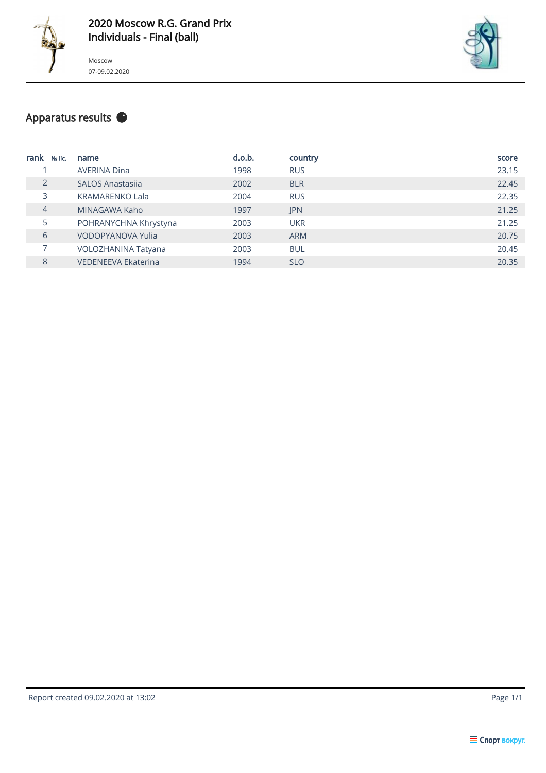



#### Apparatus results  $\bullet$

| rank<br>No lic. | name                       | d.o.b. | country    | score |
|-----------------|----------------------------|--------|------------|-------|
|                 | <b>AVERINA Dina</b>        | 1998   | <b>RUS</b> | 23.15 |
| 2               | <b>SALOS Anastasija</b>    | 2002   | <b>BLR</b> | 22.45 |
| 3               | <b>KRAMARENKO Lala</b>     | 2004   | <b>RUS</b> | 22.35 |
| $\overline{4}$  | MINAGAWA Kaho              | 1997   | <b>JPN</b> | 21.25 |
| 5               | POHRANYCHNA Khrystyna      | 2003   | <b>UKR</b> | 21.25 |
| 6               | <b>VODOPYANOVA Yulia</b>   | 2003   | <b>ARM</b> | 20.75 |
| 7               | VOLOZHANINA Tatyana        | 2003   | <b>BUL</b> | 20.45 |
| 8               | <b>VEDENEEVA Ekaterina</b> | 1994   | <b>SLO</b> | 20.35 |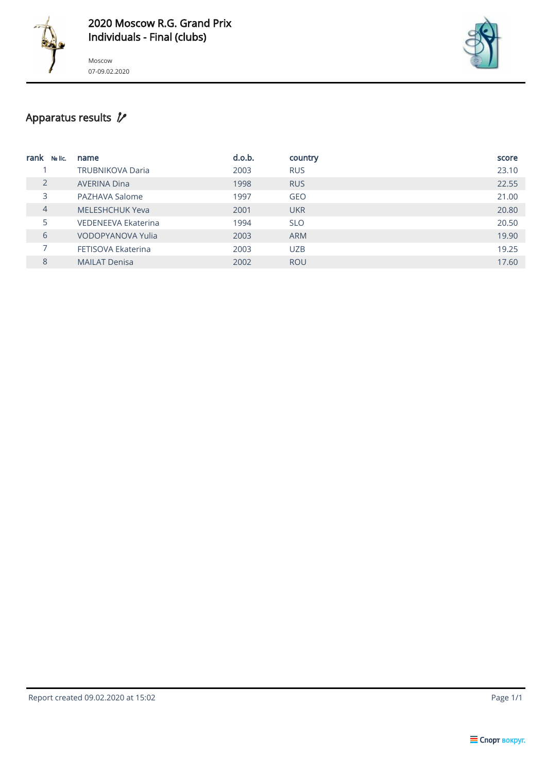



## Apparatus results  $\not\!\!\!\!\!\!\!Z$

| rank<br>No lic. | name                    | d.o.b. | country    | score |
|-----------------|-------------------------|--------|------------|-------|
|                 | <b>TRUBNIKOVA Daria</b> | 2003   | <b>RUS</b> | 23.10 |
| $\overline{2}$  | <b>AVERINA Dina</b>     | 1998   | <b>RUS</b> | 22.55 |
| 3               | PAZHAVA Salome          | 1997   | <b>GEO</b> | 21.00 |
| 4               | <b>MELESHCHUK Yeva</b>  | 2001   | <b>UKR</b> | 20.80 |
| 5               | VEDENEEVA Ekaterina     | 1994   | <b>SLO</b> | 20.50 |
| 6               | VODOPYANOVA Yulia       | 2003   | <b>ARM</b> | 19.90 |
|                 | FETISOVA Ekaterina      | 2003   | <b>UZB</b> | 19.25 |
| 8               | <b>MAILAT Denisa</b>    | 2002   | <b>ROU</b> | 17.60 |